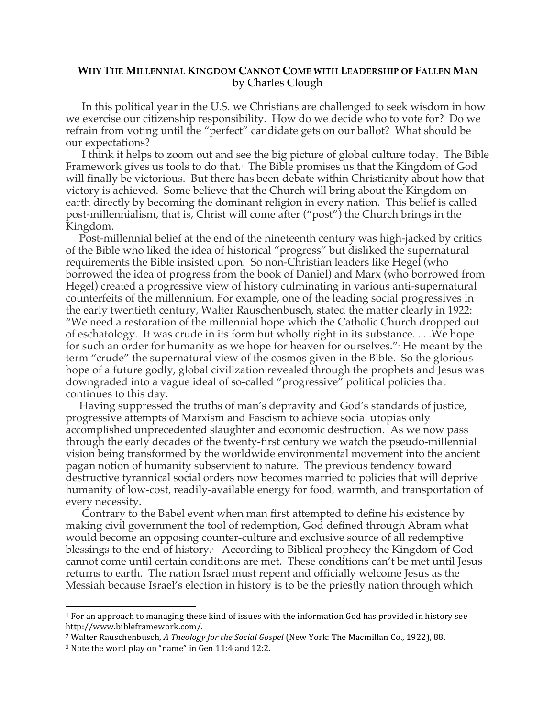## **WHY THE MILLENNIAL KINGDOM CANNOT COME WITH LEADERSHIP OF FALLEN MAN** by Charles Clough

In this political year in the U.S. we Christians are challenged to seek wisdom in how we exercise our citizenship responsibility. How do we decide who to vote for? Do we refrain from voting until the "perfect" candidate gets on our ballot? What should be our expectations?

I think it helps to zoom out and see the big picture of global culture today. The Bible Framework gives us tools to do that.1 The Bible promises us that the Kingdom of God will finally be victorious. But there has been debate within Christianity about how that victory is achieved. Some believe that the Church will bring about the Kingdom on earth directly by becoming the dominant religion in every nation. This belief is called post-millennialism, that is, Christ will come after ("post") the Church brings in the Kingdom.

 Post-millennial belief at the end of the nineteenth century was high-jacked by critics of the Bible who liked the idea of historical "progress" but disliked the supernatural requirements the Bible insisted upon. So non-Christian leaders like Hegel (who borrowed the idea of progress from the book of Daniel) and Marx (who borrowed from Hegel) created a progressive view of history culminating in various anti-supernatural counterfeits of the millennium. For example, one of the leading social progressives in the early twentieth century, Walter Rauschenbusch, stated the matter clearly in 1922: "We need a restoration of the millennial hope which the Catholic Church dropped out of eschatology. It was crude in its form but wholly right in its substance. . . .We hope for such an order for humanity as we hope for heaven for ourselves."<sup>2</sup> He meant by the term "crude" the supernatural view of the cosmos given in the Bible. So the glorious hope of a future godly, global civilization revealed through the prophets and Jesus was downgraded into a vague ideal of so-called "progressive" political policies that continues to this day.

 Having suppressed the truths of man's depravity and God's standards of justice, progressive attempts of Marxism and Fascism to achieve social utopias only accomplished unprecedented slaughter and economic destruction. As we now pass through the early decades of the twenty-first century we watch the pseudo-millennial vision being transformed by the worldwide environmental movement into the ancient pagan notion of humanity subservient to nature. The previous tendency toward destructive tyrannical social orders now becomes married to policies that will deprive humanity of low-cost, readily-available energy for food, warmth, and transportation of every necessity.

 Contrary to the Babel event when man first attempted to define his existence by making civil government the tool of redemption, God defined through Abram what would become an opposing counter-culture and exclusive source of all redemptive blessings to the end of history.<sup>3</sup> According to Biblical prophecy the Kingdom of God cannot come until certain conditions are met. These conditions can't be met until Jesus returns to earth. The nation Israel must repent and officially welcome Jesus as the Messiah because Israel's election in history is to be the priestly nation through which

 $\overline{a}$ 

 $1$  For an approach to managing these kind of issues with the information God has provided in history see http://www.bibleframework.com/.

<sup>&</sup>lt;sup>2</sup> Walter Rauschenbusch, *A Theology for the Social Gospel* (New York: The Macmillan Co., 1922), 88.

 $3$  Note the word play on "name" in Gen 11:4 and 12:2.